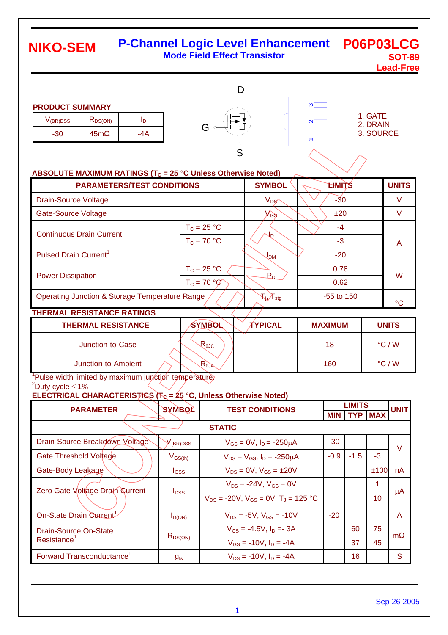#### **P-Channel Logic Level Enhancement Mode Field Effect Transistor P06P03LCG SOT-89 NIKO-SEM**

**Lead-Free**

#### **PRODUCT SUMMARY**

| V(BR)DSS | $R_{DS(ON)}$ |  |
|----------|--------------|--|
|          | c.           |  |



| ო                 |  |
|-------------------|--|
| $\mathbf{\Omega}$ |  |
|                   |  |
|                   |  |

1. GATE 2. DRAIN 3. SOURCE

### **ABSOLUTE MAXIMUM RATINGS (T<sub>C</sub> = 25 °C Unless Otherwise Noted)**

| <b>PARAMETERS/TEST CONDITIONS</b>                         |               | <b>SYMBOL</b>                                             | <b>LHMITS</b> | <b>UNITS</b> |  |
|-----------------------------------------------------------|---------------|-----------------------------------------------------------|---------------|--------------|--|
| <b>Drain-Source Voltage</b>                               |               | $V_{DS}$                                                  | $-30$         | V            |  |
| <b>Gate-Source Voltage</b>                                |               | $V_{GS}$                                                  | ±20           | v            |  |
|                                                           | $T_c = 25 °C$ |                                                           | -4            |              |  |
| <b>Continuous Drain Current</b>                           | $T_c = 70 °C$ | Jח                                                        | $-3$          | A            |  |
| Pulsed Drain Current <sup>1</sup>                         |               | J <sub>DМ</sub>                                           | $-20$         |              |  |
|                                                           | $T_c = 25 °C$ | $P_{D}$                                                   | 0.78          | W            |  |
| <b>Power Dissipation</b>                                  | $T_c = 70 °C$ |                                                           | 0.62          |              |  |
| <b>Operating Junction &amp; Storage Temperature Range</b> |               | $\mathcal{F}_{\mathsf{i}\nu} \!\!\nearrow_{\mathsf{stg}}$ | $-55$ to 150  | °C           |  |

### **THERMAL RESISTANCE RATINGS**

| <b>THERMAL RESISTANCE</b> | <b>SYMBOL</b>     | TYPICAL | <b>MAXIMUM</b> | <b>UNITS</b>    |
|---------------------------|-------------------|---------|----------------|-----------------|
| Junction-to-Case          | $R_{\theta$ J $c$ |         | 18             | $\degree$ C / W |
| Junction-to-Ambient       | $R_{\theta}$      |         | 160            | $\degree$ C / W |

<sup>1</sup>Pulse width limited by maximum junction temperature.  $^{2}$ Duty cycle  $\leq 1\%$ 

## **ELECTRICAL CHARACTERISTICS (** $T_c = 25$  **°C, Unless Otherwise Noted)**

| <b>SYMBOL</b><br><b>PARAMETER</b>     |                  | <b>TEST CONDITIONS</b>                           |        | LIMITS<br><b>TYP MAX</b><br>MIN |      | <b>UNIT</b> |  |
|---------------------------------------|------------------|--------------------------------------------------|--------|---------------------------------|------|-------------|--|
| <b>STATIC</b>                         |                  |                                                  |        |                                 |      |             |  |
| Drain-Source Breakdown Voltage        | $V_{(BR)DSS}$    | $V_{GS} = 0V$ , $I_D = -250 \mu A$               | $-30$  |                                 |      | $\vee$      |  |
| Gate Threshold Voltage                | $V_{GS(th)}$     | $V_{DS} = V_{GS}$ , $I_D = -250 \mu A$           | $-0.9$ | $-1.5$                          | $-3$ |             |  |
| Gate-Body Leakage                     | l <sub>GSS</sub> | $V_{DS} = 0V$ , $V_{GS} = \pm 20V$               |        |                                 | ±100 | nA          |  |
| Zero Gate Voltage Drain Current       | $I_{\text{DSS}}$ | $V_{DS}$ = -24V, $V_{GS}$ = 0V                   |        |                                 | 1    |             |  |
|                                       |                  | $V_{DS}$ = -20V, $V_{GS}$ = 0V, $T_{J}$ = 125 °C |        |                                 | 10   | μ $A$       |  |
| On-State Drain Current                | $I_{D(ON)}$      | $V_{DS} = -5V$ , $V_{GS} = -10V$                 | $-20$  |                                 |      | A           |  |
| <b>Drain-Source On-State</b>          |                  | $V_{GS} = -4.5V$ , $I_D = -3A$                   |        | 60                              | 75   |             |  |
| Resistance <sup>1</sup>               | $R_{DS(ON)}$     | $V_{GS}$ = -10V, $I_D$ = -4A                     |        | 37                              | 45   | m           |  |
| Forward Transconductance <sup>1</sup> | $g_{fs}$         | $V_{DS}$ = -10V, $I_D$ = -4A                     |        | 16                              |      | S           |  |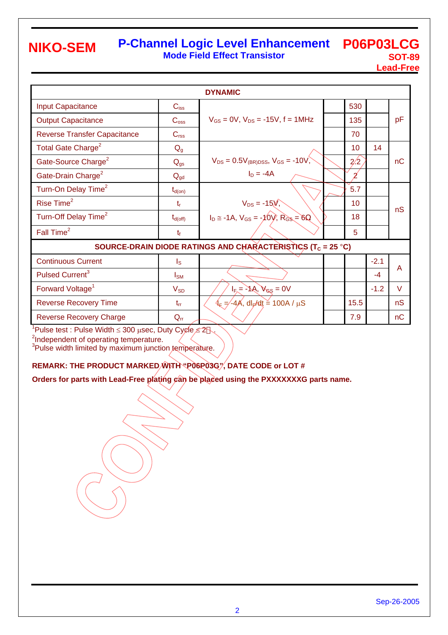# **NIKO-SEM**

### **P-Channel Logic Level Enhancement Mode Field Effect Transistor**

**P06P03LCG SOT-89 Lead-Free**

| <b>DYNAMIC</b>                      |                     |                                                                         |  |      |        |    |  |  |
|-------------------------------------|---------------------|-------------------------------------------------------------------------|--|------|--------|----|--|--|
| <b>Input Capacitance</b>            | $C_{\text{iss}}$    |                                                                         |  | 530  |        |    |  |  |
| <b>Output Capacitance</b>           | $C_{\rm oss}$       | $V_{GS} = 0V$ , $V_{DS} = -15V$ , f = 1MHz                              |  | 135  |        | pF |  |  |
| <b>Reverse Transfer Capacitance</b> | $C_{\text{rss}}$    |                                                                         |  | 70   |        |    |  |  |
| Total Gate Charge <sup>2</sup>      | Q <sub>g</sub>      |                                                                         |  | 10   | 14     |    |  |  |
| Gate-Source Charge <sup>2</sup>     | $Q_{gs}$            | $V_{DS} = 0.5V_{(BR)DSS}$ , $V_{GS} = -10V$ ,                           |  | 2/2  |        | nC |  |  |
| Gate-Drain Charge <sup>2</sup>      | $Q_{\text{gd}}$     | $I_D = -4A$                                                             |  | 2    |        |    |  |  |
| Turn-On Delay Time <sup>2</sup>     | $t_{d(on)}$         |                                                                         |  | 5.7  |        |    |  |  |
| Rise Time <sup>2</sup>              | $t_{r}$             | $V_{DS} = -15\lambda$ ,                                                 |  | 10   |        | nS |  |  |
| Turn-Off Delay Time <sup>2</sup>    | $t_{d(\text{off})}$ | $I_D \approx -1A$ , $V_{GS} = -10V$ , $R_{GS} = 6$                      |  | 18   |        |    |  |  |
| Fall Time <sup>2</sup>              | $t_{f}$             |                                                                         |  | 5    |        |    |  |  |
|                                     |                     | SOURCE-DRAIN DIODE RATINGS AND CHARACTERISTICS (T <sub>C</sub> = 25 °C) |  |      |        |    |  |  |
| <b>Continuous Current</b>           | $I_{\rm S}$         |                                                                         |  |      | $-2.1$ | A  |  |  |
| Pulsed Current <sup>3</sup>         | $I_{\text{SM}}$     |                                                                         |  |      | $-4$   |    |  |  |
| Forward Voltage <sup>1</sup>        | $V_{SD}$            | $I_{F_s}$ = -1A, $V_{GS}$ = 0V                                          |  |      | $-1.2$ | V  |  |  |
| <b>Reverse Recovery Time</b>        | $t_{rr}$            | $4\epsilon = -4\text{\AA}$ , dl $\epsilon$ /dt = 100A / $\mu$ S         |  | 15.5 |        | nS |  |  |
| <b>Reverse Recovery Charge</b>      | $Q_{rr}$            |                                                                         |  | 7.9  |        | nC |  |  |

<sup>1</sup>Pulse test : Pulse Width ≤ 300 µsec, Duty Cycle  $\leq 2$ .

<sup>2</sup>Independent of operating temperature.

<sup>3</sup>Pulse width limited by maximum junction temperature.

### **REMARK: THE PRODUCT MARKED WITH "P06P03G", DATE CODE or LOT #**

Orders for parts with Lead-Free plating can be placed using the PXXXXXXXG parts name.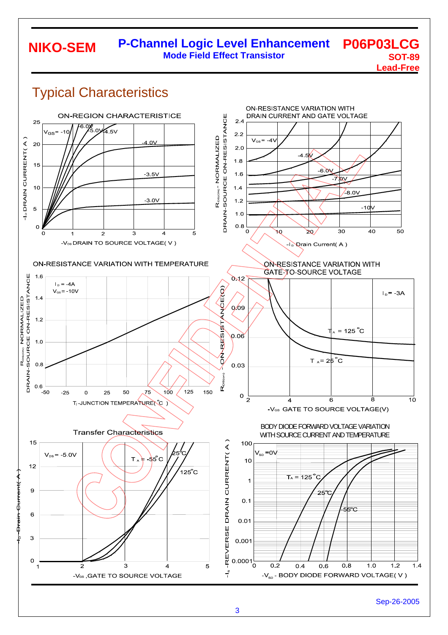#### **P-Channel Logic Level Enhancement Mode Field Effect Transistor P06P03LCG SOT-89 NIKO-SEM**

**Lead-Free**



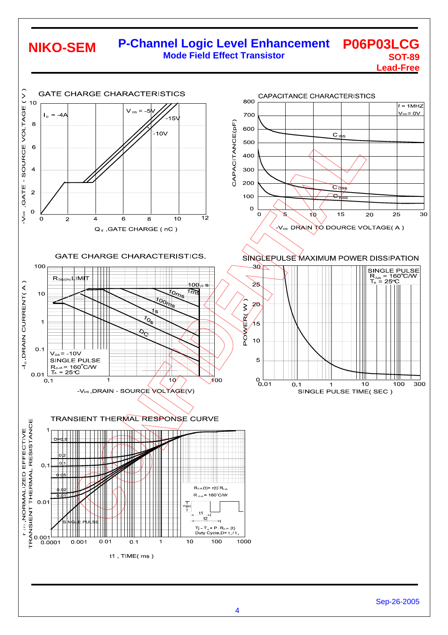# **NIKO-SEM**

#### **P-Channel Logic Level Enhancement Mode Field Effect Transistor P06P03LCG SOT-89**

**Lead-Free**